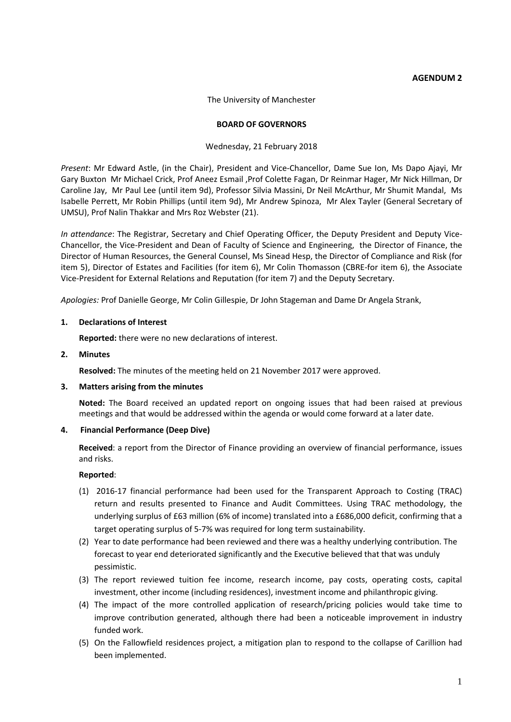## **AGENDUM 2**

The University of Manchester

## **BOARD OF GOVERNORS**

## Wednesday, 21 February 2018

*Present*: Mr Edward Astle, (in the Chair), President and Vice-Chancellor, Dame Sue Ion, Ms Dapo Ajayi, Mr Gary Buxton Mr Michael Crick, Prof Aneez Esmail ,Prof Colette Fagan, Dr Reinmar Hager, Mr Nick Hillman, Dr Caroline Jay, Mr Paul Lee (until item 9d), Professor Silvia Massini, Dr Neil McArthur, Mr Shumit Mandal, Ms Isabelle Perrett, Mr Robin Phillips (until item 9d), Mr Andrew Spinoza, Mr Alex Tayler (General Secretary of UMSU), Prof Nalin Thakkar and Mrs Roz Webster (21).

*In attendance*: The Registrar, Secretary and Chief Operating Officer, the Deputy President and Deputy Vice-Chancellor, the Vice-President and Dean of Faculty of Science and Engineering, the Director of Finance, the Director of Human Resources, the General Counsel, Ms Sinead Hesp, the Director of Compliance and Risk (for item 5), Director of Estates and Facilities (for item 6), Mr Colin Thomasson (CBRE-for item 6), the Associate Vice-President for External Relations and Reputation (for item 7) and the Deputy Secretary.

*Apologies:* Prof Danielle George, Mr Colin Gillespie, Dr John Stageman and Dame Dr Angela Strank,

## **1. Declarations of Interest**

**Reported:** there were no new declarations of interest.

## **2. Minutes**

**Resolved:** The minutes of the meeting held on 21 November 2017 were approved.

### **3. Matters arising from the minutes**

**Noted:** The Board received an updated report on ongoing issues that had been raised at previous meetings and that would be addressed within the agenda or would come forward at a later date.

# **4. Financial Performance (Deep Dive)**

**Received**: a report from the Director of Finance providing an overview of financial performance, issues and risks.

- (1) 2016-17 financial performance had been used for the Transparent Approach to Costing (TRAC) return and results presented to Finance and Audit Committees. Using TRAC methodology, the underlying surplus of £63 million (6% of income) translated into a £686,000 deficit, confirming that a target operating surplus of 5-7% was required for long term sustainability.
- (2) Year to date performance had been reviewed and there was a healthy underlying contribution. The forecast to year end deteriorated significantly and the Executive believed that that was unduly pessimistic.
- (3) The report reviewed tuition fee income, research income, pay costs, operating costs, capital investment, other income (including residences), investment income and philanthropic giving.
- (4) The impact of the more controlled application of research/pricing policies would take time to improve contribution generated, although there had been a noticeable improvement in industry funded work.
- (5) On the Fallowfield residences project, a mitigation plan to respond to the collapse of Carillion had been implemented.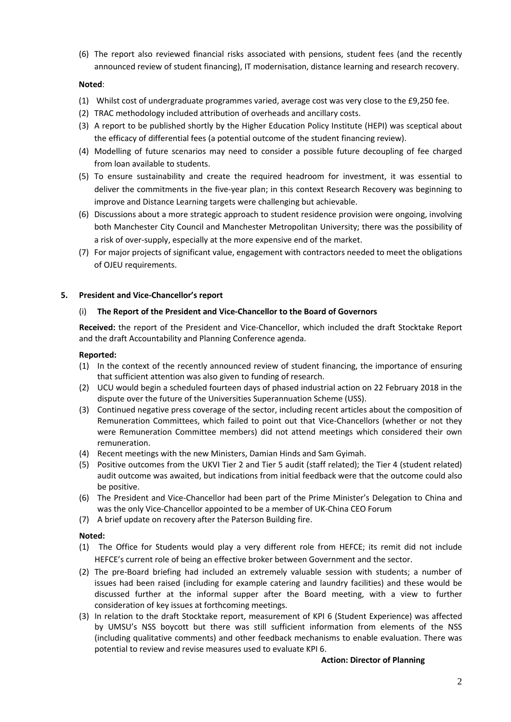(6) The report also reviewed financial risks associated with pensions, student fees (and the recently announced review of student financing), IT modernisation, distance learning and research recovery.

# **Noted**:

- (1) Whilst cost of undergraduate programmes varied, average cost was very close to the £9,250 fee.
- (2) TRAC methodology included attribution of overheads and ancillary costs.
- (3) A report to be published shortly by the Higher Education Policy Institute (HEPI) was sceptical about the efficacy of differential fees (a potential outcome of the student financing review).
- (4) Modelling of future scenarios may need to consider a possible future decoupling of fee charged from loan available to students.
- (5) To ensure sustainability and create the required headroom for investment, it was essential to deliver the commitments in the five-year plan; in this context Research Recovery was beginning to improve and Distance Learning targets were challenging but achievable.
- (6) Discussions about a more strategic approach to student residence provision were ongoing, involving both Manchester City Council and Manchester Metropolitan University; there was the possibility of a risk of over-supply, especially at the more expensive end of the market.
- (7) For major projects of significant value, engagement with contractors needed to meet the obligations of OJEU requirements.

### **5. President and Vice-Chancellor's report**

## (i) **The Report of the President and Vice-Chancellor to the Board of Governors**

**Received:** the report of the President and Vice-Chancellor, which included the draft Stocktake Report and the draft Accountability and Planning Conference agenda.

### **Reported:**

- (1) In the context of the recently announced review of student financing, the importance of ensuring that sufficient attention was also given to funding of research.
- (2) UCU would begin a scheduled fourteen days of phased industrial action on 22 February 2018 in the dispute over the future of the Universities Superannuation Scheme (USS).
- (3) Continued negative press coverage of the sector, including recent articles about the composition of Remuneration Committees, which failed to point out that Vice-Chancellors (whether or not they were Remuneration Committee members) did not attend meetings which considered their own remuneration.
- (4) Recent meetings with the new Ministers, Damian Hinds and Sam Gyimah.
- (5) Positive outcomes from the UKVI Tier 2 and Tier 5 audit (staff related); the Tier 4 (student related) audit outcome was awaited, but indications from initial feedback were that the outcome could also be positive.
- (6) The President and Vice-Chancellor had been part of the Prime Minister's Delegation to China and was the only Vice-Chancellor appointed to be a member of UK-China CEO Forum
- (7) A brief update on recovery after the Paterson Building fire.

# **Noted:**

- (1) The Office for Students would play a very different role from HEFCE; its remit did not include HEFCE's current role of being an effective broker between Government and the sector.
- (2) The pre-Board briefing had included an extremely valuable session with students; a number of issues had been raised (including for example catering and laundry facilities) and these would be discussed further at the informal supper after the Board meeting, with a view to further consideration of key issues at forthcoming meetings.
- (3) In relation to the draft Stocktake report, measurement of KPI 6 (Student Experience) was affected by UMSU's NSS boycott but there was still sufficient information from elements of the NSS (including qualitative comments) and other feedback mechanisms to enable evaluation. There was potential to review and revise measures used to evaluate KPI 6.

### **Action: Director of Planning**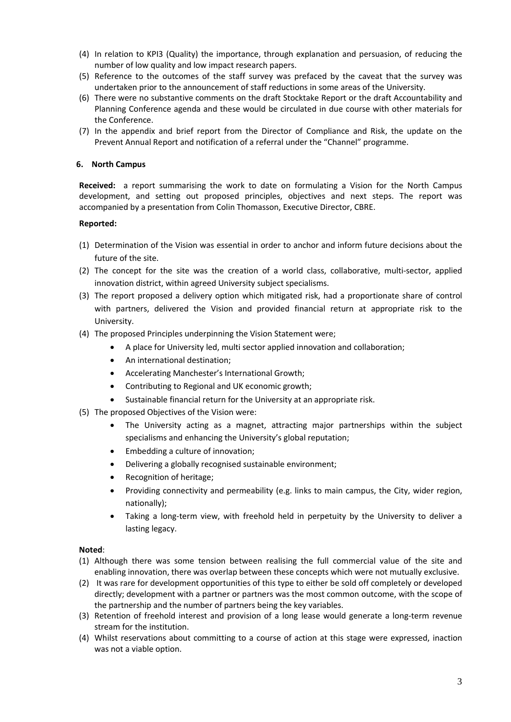- (4) In relation to KPI3 (Quality) the importance, through explanation and persuasion, of reducing the number of low quality and low impact research papers.
- (5) Reference to the outcomes of the staff survey was prefaced by the caveat that the survey was undertaken prior to the announcement of staff reductions in some areas of the University.
- (6) There were no substantive comments on the draft Stocktake Report or the draft Accountability and Planning Conference agenda and these would be circulated in due course with other materials for the Conference.
- (7) In the appendix and brief report from the Director of Compliance and Risk, the update on the Prevent Annual Report and notification of a referral under the "Channel" programme.

# **6. North Campus**

**Received:** a report summarising the work to date on formulating a Vision for the North Campus development, and setting out proposed principles, objectives and next steps. The report was accompanied by a presentation from Colin Thomasson, Executive Director, CBRE.

# **Reported:**

- (1) Determination of the Vision was essential in order to anchor and inform future decisions about the future of the site.
- (2) The concept for the site was the creation of a world class, collaborative, multi-sector, applied innovation district, within agreed University subject specialisms.
- (3) The report proposed a delivery option which mitigated risk, had a proportionate share of control with partners, delivered the Vision and provided financial return at appropriate risk to the University.
- (4) The proposed Principles underpinning the Vision Statement were;
	- A place for University led, multi sector applied innovation and collaboration;
	- An international destination;
	- Accelerating Manchester's International Growth;
	- Contributing to Regional and UK economic growth;
	- Sustainable financial return for the University at an appropriate risk.
- (5) The proposed Objectives of the Vision were:
	- The University acting as a magnet, attracting major partnerships within the subject specialisms and enhancing the University's global reputation;
	- Embedding a culture of innovation;
	- Delivering a globally recognised sustainable environment;
	- Recognition of heritage;
	- Providing connectivity and permeability (e.g. links to main campus, the City, wider region, nationally);
	- Taking a long-term view, with freehold held in perpetuity by the University to deliver a lasting legacy.

- (1) Although there was some tension between realising the full commercial value of the site and enabling innovation, there was overlap between these concepts which were not mutually exclusive.
- (2) It was rare for development opportunities of this type to either be sold off completely or developed directly; development with a partner or partners was the most common outcome, with the scope of the partnership and the number of partners being the key variables.
- (3) Retention of freehold interest and provision of a long lease would generate a long-term revenue stream for the institution.
- (4) Whilst reservations about committing to a course of action at this stage were expressed, inaction was not a viable option.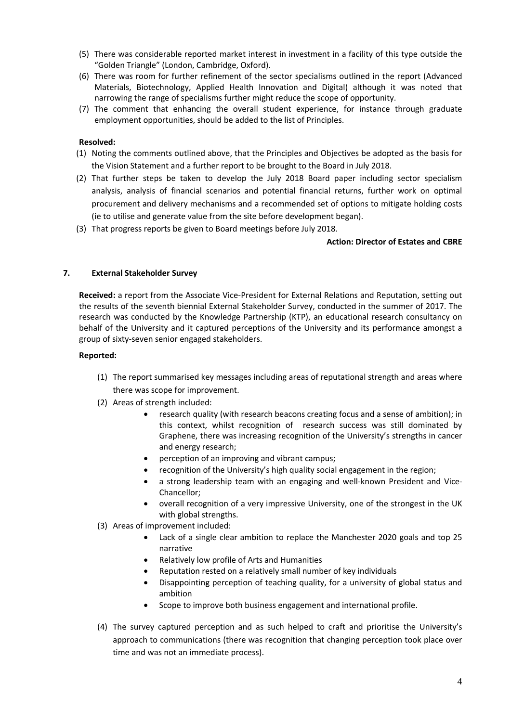- (5) There was considerable reported market interest in investment in a facility of this type outside the "Golden Triangle" (London, Cambridge, Oxford).
- (6) There was room for further refinement of the sector specialisms outlined in the report (Advanced Materials, Biotechnology, Applied Health Innovation and Digital) although it was noted that narrowing the range of specialisms further might reduce the scope of opportunity.
- (7) The comment that enhancing the overall student experience, for instance through graduate employment opportunities, should be added to the list of Principles.

# **Resolved:**

- (1) Noting the comments outlined above, that the Principles and Objectives be adopted as the basis for the Vision Statement and a further report to be brought to the Board in July 2018.
- (2) That further steps be taken to develop the July 2018 Board paper including sector specialism analysis, analysis of financial scenarios and potential financial returns, further work on optimal procurement and delivery mechanisms and a recommended set of options to mitigate holding costs (ie to utilise and generate value from the site before development began).
- (3) That progress reports be given to Board meetings before July 2018.

### **Action: Director of Estates and CBRE**

## **7. External Stakeholder Survey**

**Received:** a report from the Associate Vice-President for External Relations and Reputation, setting out the results of the seventh biennial External Stakeholder Survey, conducted in the summer of 2017. The research was conducted by the Knowledge Partnership (KTP), an educational research consultancy on behalf of the University and it captured perceptions of the University and its performance amongst a group of sixty-seven senior engaged stakeholders.

- (1) The report summarised key messages including areas of reputational strength and areas where there was scope for improvement.
- (2) Areas of strength included:
	- research quality (with research beacons creating focus and a sense of ambition); in this context, whilst recognition of research success was still dominated by Graphene, there was increasing recognition of the University's strengths in cancer and energy research;
	- perception of an improving and vibrant campus;
	- recognition of the University's high quality social engagement in the region;
	- a strong leadership team with an engaging and well-known President and Vice-Chancellor;
	- overall recognition of a very impressive University, one of the strongest in the UK with global strengths.
- (3) Areas of improvement included:
	- Lack of a single clear ambition to replace the Manchester 2020 goals and top 25 narrative
	- Relatively low profile of Arts and Humanities
	- Reputation rested on a relatively small number of key individuals
	- Disappointing perception of teaching quality, for a university of global status and ambition
	- Scope to improve both business engagement and international profile.
- (4) The survey captured perception and as such helped to craft and prioritise the University's approach to communications (there was recognition that changing perception took place over time and was not an immediate process).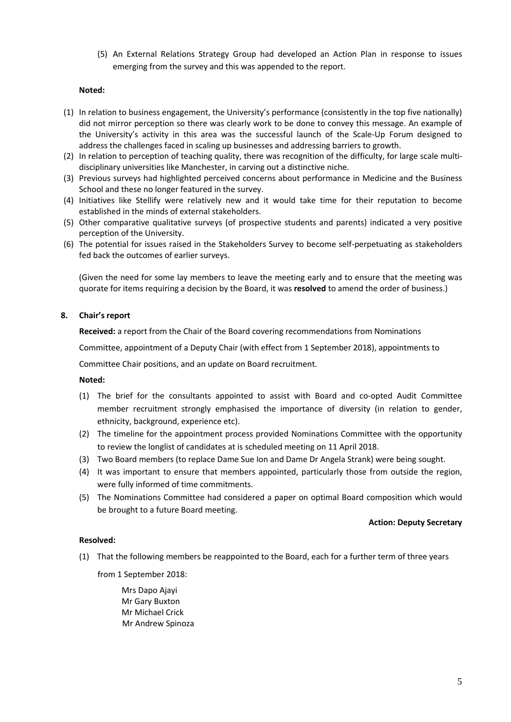(5) An External Relations Strategy Group had developed an Action Plan in response to issues emerging from the survey and this was appended to the report.

## **Noted:**

- (1) In relation to business engagement, the University's performance (consistently in the top five nationally) did not mirror perception so there was clearly work to be done to convey this message. An example of the University's activity in this area was the successful launch of the Scale-Up Forum designed to address the challenges faced in scaling up businesses and addressing barriers to growth.
- (2) In relation to perception of teaching quality, there was recognition of the difficulty, for large scale multidisciplinary universities like Manchester, in carving out a distinctive niche.
- (3) Previous surveys had highlighted perceived concerns about performance in Medicine and the Business School and these no longer featured in the survey.
- (4) Initiatives like Stellify were relatively new and it would take time for their reputation to become established in the minds of external stakeholders.
- (5) Other comparative qualitative surveys (of prospective students and parents) indicated a very positive perception of the University.
- (6) The potential for issues raised in the Stakeholders Survey to become self-perpetuating as stakeholders fed back the outcomes of earlier surveys.

(Given the need for some lay members to leave the meeting early and to ensure that the meeting was quorate for items requiring a decision by the Board, it was **resolved** to amend the order of business.)

## **8. Chair's report**

**Received:** a report from the Chair of the Board covering recommendations from Nominations

Committee, appointment of a Deputy Chair (with effect from 1 September 2018), appointments to

Committee Chair positions, and an update on Board recruitment.

**Noted:** 

- (1) The brief for the consultants appointed to assist with Board and co-opted Audit Committee member recruitment strongly emphasised the importance of diversity (in relation to gender, ethnicity, background, experience etc).
- (2) The timeline for the appointment process provided Nominations Committee with the opportunity to review the longlist of candidates at is scheduled meeting on 11 April 2018.
- (3) Two Board members (to replace Dame Sue Ion and Dame Dr Angela Strank) were being sought.
- (4) It was important to ensure that members appointed, particularly those from outside the region, were fully informed of time commitments.
- (5) The Nominations Committee had considered a paper on optimal Board composition which would be brought to a future Board meeting.

### **Action: Deputy Secretary**

# **Resolved:**

(1) That the following members be reappointed to the Board, each for a further term of three years

from 1 September 2018:

Mrs Dapo Ajayi Mr Gary Buxton Mr Michael Crick Mr Andrew Spinoza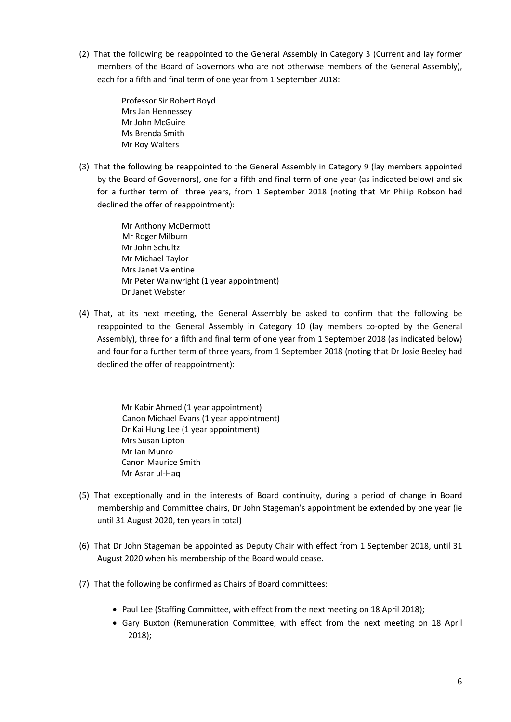(2) That the following be reappointed to the General Assembly in Category 3 (Current and lay former members of the Board of Governors who are not otherwise members of the General Assembly), each for a fifth and final term of one year from 1 September 2018:

> Professor Sir Robert Boyd Mrs Jan Hennessey Mr John McGuire Ms Brenda Smith Mr Roy Walters

(3) That the following be reappointed to the General Assembly in Category 9 (lay members appointed by the Board of Governors), one for a fifth and final term of one year (as indicated below) and six for a further term of three years, from 1 September 2018 (noting that Mr Philip Robson had declined the offer of reappointment):

> Mr Anthony McDermott Mr Roger Milburn Mr John Schultz Mr Michael Taylor Mrs Janet Valentine Mr Peter Wainwright (1 year appointment) Dr Janet Webster

(4) That, at its next meeting, the General Assembly be asked to confirm that the following be reappointed to the General Assembly in Category 10 (lay members co-opted by the General Assembly), three for a fifth and final term of one year from 1 September 2018 (as indicated below) and four for a further term of three years, from 1 September 2018 (noting that Dr Josie Beeley had declined the offer of reappointment):

> Mr Kabir Ahmed (1 year appointment) Canon Michael Evans (1 year appointment) Dr Kai Hung Lee (1 year appointment) Mrs Susan Lipton Mr Ian Munro Canon Maurice Smith Mr Asrar ul-Haq

- (5) That exceptionally and in the interests of Board continuity, during a period of change in Board membership and Committee chairs, Dr John Stageman's appointment be extended by one year (ie until 31 August 2020, ten years in total)
- (6) That Dr John Stageman be appointed as Deputy Chair with effect from 1 September 2018, until 31 August 2020 when his membership of the Board would cease.
- (7) That the following be confirmed as Chairs of Board committees:
	- Paul Lee (Staffing Committee, with effect from the next meeting on 18 April 2018);
	- Gary Buxton (Remuneration Committee, with effect from the next meeting on 18 April 2018);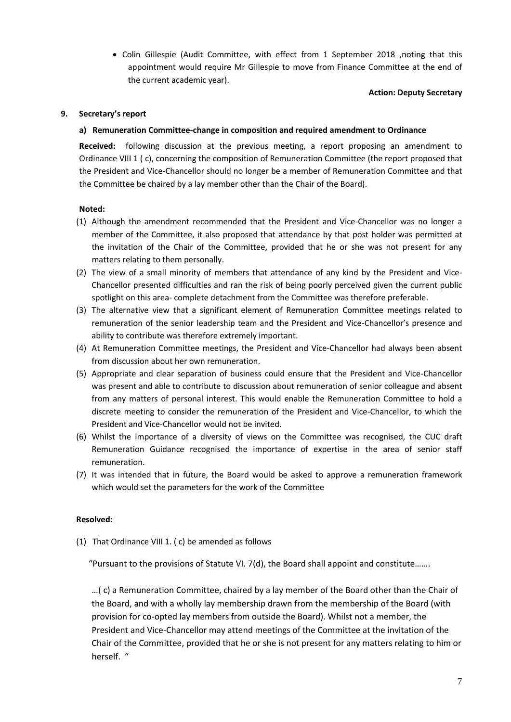• Colin Gillespie (Audit Committee, with effect from 1 September 2018 ,noting that this appointment would require Mr Gillespie to move from Finance Committee at the end of the current academic year).

### **Action: Deputy Secretary**

# **9. Secretary's report**

## **a) Remuneration Committee-change in composition and required amendment to Ordinance**

**Received:** following discussion at the previous meeting, a report proposing an amendment to Ordinance VIII 1 ( c), concerning the composition of Remuneration Committee (the report proposed that the President and Vice-Chancellor should no longer be a member of Remuneration Committee and that the Committee be chaired by a lay member other than the Chair of the Board).

## **Noted:**

- (1) Although the amendment recommended that the President and Vice-Chancellor was no longer a member of the Committee, it also proposed that attendance by that post holder was permitted at the invitation of the Chair of the Committee, provided that he or she was not present for any matters relating to them personally.
- (2) The view of a small minority of members that attendance of any kind by the President and Vice-Chancellor presented difficulties and ran the risk of being poorly perceived given the current public spotlight on this area- complete detachment from the Committee was therefore preferable.
- (3) The alternative view that a significant element of Remuneration Committee meetings related to remuneration of the senior leadership team and the President and Vice-Chancellor's presence and ability to contribute was therefore extremely important.
- (4) At Remuneration Committee meetings, the President and Vice-Chancellor had always been absent from discussion about her own remuneration.
- (5) Appropriate and clear separation of business could ensure that the President and Vice-Chancellor was present and able to contribute to discussion about remuneration of senior colleague and absent from any matters of personal interest. This would enable the Remuneration Committee to hold a discrete meeting to consider the remuneration of the President and Vice-Chancellor, to which the President and Vice-Chancellor would not be invited.
- (6) Whilst the importance of a diversity of views on the Committee was recognised, the CUC draft Remuneration Guidance recognised the importance of expertise in the area of senior staff remuneration.
- (7) It was intended that in future, the Board would be asked to approve a remuneration framework which would set the parameters for the work of the Committee

### **Resolved:**

(1) That Ordinance VIII 1. ( c) be amended as follows

"Pursuant to the provisions of Statute VI. 7(d), the Board shall appoint and constitute…….

…( c) a Remuneration Committee, chaired by a lay member of the Board other than the Chair of the Board, and with a wholly lay membership drawn from the membership of the Board (with provision for co-opted lay members from outside the Board). Whilst not a member, the President and Vice-Chancellor may attend meetings of the Committee at the invitation of the Chair of the Committee, provided that he or she is not present for any matters relating to him or herself. "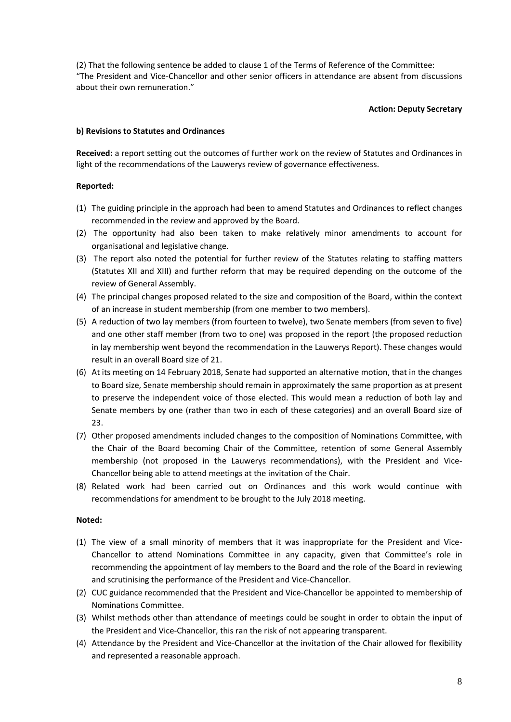(2) That the following sentence be added to clause 1 of the Terms of Reference of the Committee: "The President and Vice-Chancellor and other senior officers in attendance are absent from discussions about their own remuneration."

## **Action: Deputy Secretary**

### **b) Revisions to Statutes and Ordinances**

**Received:** a report setting out the outcomes of further work on the review of Statutes and Ordinances in light of the recommendations of the Lauwerys review of governance effectiveness.

## **Reported:**

- (1) The guiding principle in the approach had been to amend Statutes and Ordinances to reflect changes recommended in the review and approved by the Board.
- (2) The opportunity had also been taken to make relatively minor amendments to account for organisational and legislative change.
- (3) The report also noted the potential for further review of the Statutes relating to staffing matters (Statutes XII and XIII) and further reform that may be required depending on the outcome of the review of General Assembly.
- (4) The principal changes proposed related to the size and composition of the Board, within the context of an increase in student membership (from one member to two members).
- (5) A reduction of two lay members (from fourteen to twelve), two Senate members (from seven to five) and one other staff member (from two to one) was proposed in the report (the proposed reduction in lay membership went beyond the recommendation in the Lauwerys Report). These changes would result in an overall Board size of 21.
- (6) At its meeting on 14 February 2018, Senate had supported an alternative motion, that in the changes to Board size, Senate membership should remain in approximately the same proportion as at present to preserve the independent voice of those elected. This would mean a reduction of both lay and Senate members by one (rather than two in each of these categories) and an overall Board size of 23.
- (7) Other proposed amendments included changes to the composition of Nominations Committee, with the Chair of the Board becoming Chair of the Committee, retention of some General Assembly membership (not proposed in the Lauwerys recommendations), with the President and Vice-Chancellor being able to attend meetings at the invitation of the Chair.
- (8) Related work had been carried out on Ordinances and this work would continue with recommendations for amendment to be brought to the July 2018 meeting.

- (1) The view of a small minority of members that it was inappropriate for the President and Vice-Chancellor to attend Nominations Committee in any capacity, given that Committee's role in recommending the appointment of lay members to the Board and the role of the Board in reviewing and scrutinising the performance of the President and Vice-Chancellor.
- (2) CUC guidance recommended that the President and Vice-Chancellor be appointed to membership of Nominations Committee.
- (3) Whilst methods other than attendance of meetings could be sought in order to obtain the input of the President and Vice-Chancellor, this ran the risk of not appearing transparent.
- (4) Attendance by the President and Vice-Chancellor at the invitation of the Chair allowed for flexibility and represented a reasonable approach.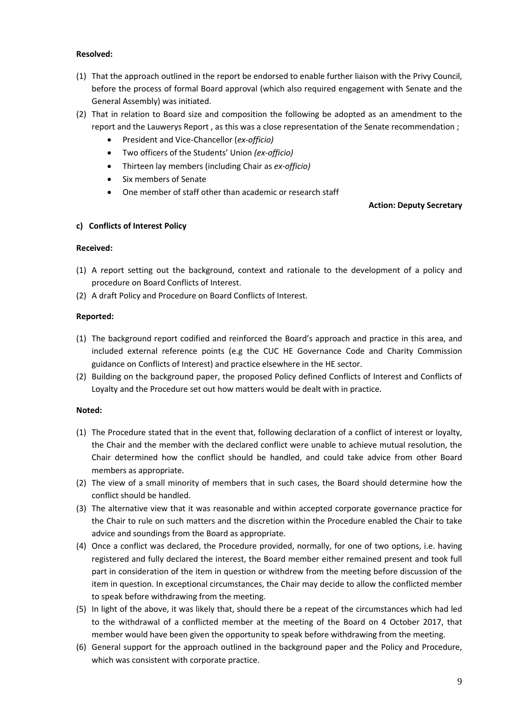# **Resolved:**

- (1) That the approach outlined in the report be endorsed to enable further liaison with the Privy Council, before the process of formal Board approval (which also required engagement with Senate and the General Assembly) was initiated.
- (2) That in relation to Board size and composition the following be adopted as an amendment to the report and the Lauwerys Report , as this was a close representation of the Senate recommendation ;
	- President and Vice-Chancellor (*ex-officio)*
	- Two officers of the Students' Union *(ex-officio)*
	- Thirteen lay members (including Chair as *ex-officio)*
	- Six members of Senate
	- One member of staff other than academic or research staff

# **Action: Deputy Secretary**

# **c) Conflicts of Interest Policy**

# **Received:**

- (1) A report setting out the background, context and rationale to the development of a policy and procedure on Board Conflicts of Interest.
- (2) A draft Policy and Procedure on Board Conflicts of Interest.

# **Reported:**

- (1) The background report codified and reinforced the Board's approach and practice in this area, and included external reference points (e.g the CUC HE Governance Code and Charity Commission guidance on Conflicts of Interest) and practice elsewhere in the HE sector.
- (2) Building on the background paper, the proposed Policy defined Conflicts of Interest and Conflicts of Loyalty and the Procedure set out how matters would be dealt with in practice.

- (1) The Procedure stated that in the event that, following declaration of a conflict of interest or loyalty, the Chair and the member with the declared conflict were unable to achieve mutual resolution, the Chair determined how the conflict should be handled, and could take advice from other Board members as appropriate.
- (2) The view of a small minority of members that in such cases, the Board should determine how the conflict should be handled.
- (3) The alternative view that it was reasonable and within accepted corporate governance practice for the Chair to rule on such matters and the discretion within the Procedure enabled the Chair to take advice and soundings from the Board as appropriate.
- (4) Once a conflict was declared, the Procedure provided, normally, for one of two options, i.e. having registered and fully declared the interest, the Board member either remained present and took full part in consideration of the item in question or withdrew from the meeting before discussion of the item in question. In exceptional circumstances, the Chair may decide to allow the conflicted member to speak before withdrawing from the meeting.
- (5) In light of the above, it was likely that, should there be a repeat of the circumstances which had led to the withdrawal of a conflicted member at the meeting of the Board on 4 October 2017, that member would have been given the opportunity to speak before withdrawing from the meeting.
- (6) General support for the approach outlined in the background paper and the Policy and Procedure, which was consistent with corporate practice.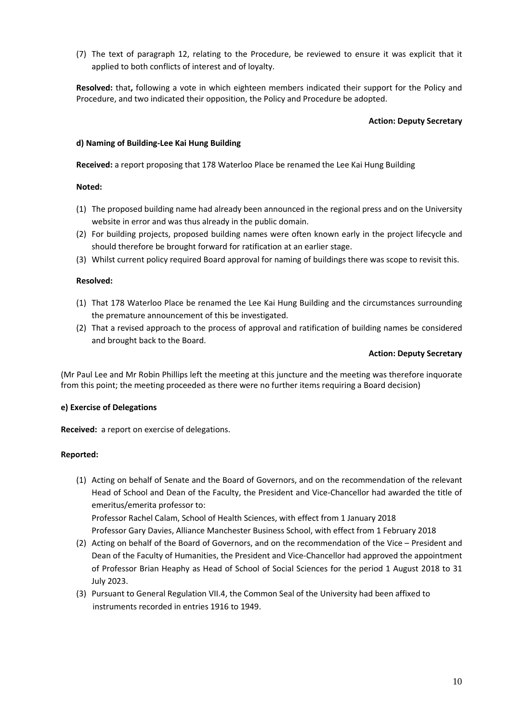(7) The text of paragraph 12, relating to the Procedure, be reviewed to ensure it was explicit that it applied to both conflicts of interest and of loyalty.

**Resolved:** that**,** following a vote in which eighteen members indicated their support for the Policy and Procedure, and two indicated their opposition, the Policy and Procedure be adopted.

### **Action: Deputy Secretary**

### **d) Naming of Building-Lee Kai Hung Building**

**Received:** a report proposing that 178 Waterloo Place be renamed the Lee Kai Hung Building

## **Noted:**

- (1) The proposed building name had already been announced in the regional press and on the University website in error and was thus already in the public domain.
- (2) For building projects, proposed building names were often known early in the project lifecycle and should therefore be brought forward for ratification at an earlier stage.
- (3) Whilst current policy required Board approval for naming of buildings there was scope to revisit this.

## **Resolved:**

- (1) That 178 Waterloo Place be renamed the Lee Kai Hung Building and the circumstances surrounding the premature announcement of this be investigated.
- (2) That a revised approach to the process of approval and ratification of building names be considered and brought back to the Board.

### **Action: Deputy Secretary**

(Mr Paul Lee and Mr Robin Phillips left the meeting at this juncture and the meeting was therefore inquorate from this point; the meeting proceeded as there were no further items requiring a Board decision)

### **e) Exercise of Delegations**

**Received:** a report on exercise of delegations.

### **Reported:**

(1) Acting on behalf of Senate and the Board of Governors, and on the recommendation of the relevant Head of School and Dean of the Faculty, the President and Vice-Chancellor had awarded the title of emeritus/emerita professor to:

Professor Rachel Calam, School of Health Sciences, with effect from 1 January 2018 Professor Gary Davies, Alliance Manchester Business School, with effect from 1 February 2018

- (2) Acting on behalf of the Board of Governors, and on the recommendation of the Vice President and Dean of the Faculty of Humanities, the President and Vice-Chancellor had approved the appointment of Professor Brian Heaphy as Head of School of Social Sciences for the period 1 August 2018 to 31 July 2023.
- (3) Pursuant to General Regulation VII.4, the Common Seal of the University had been affixed to instruments recorded in entries 1916 to 1949.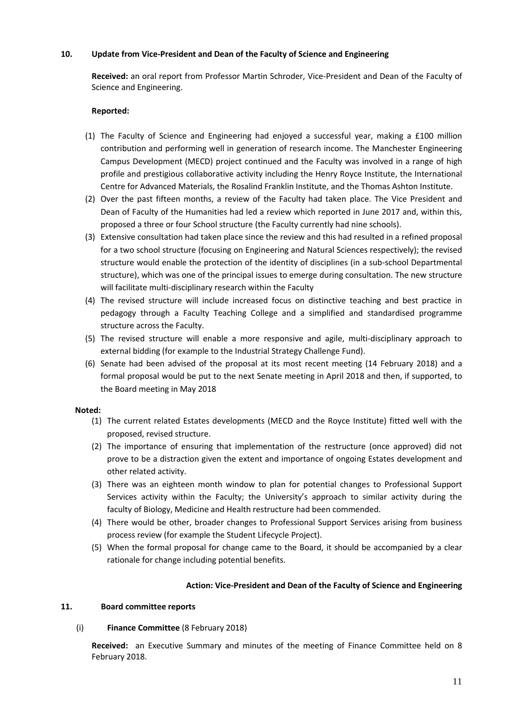# **10. Update from Vice-President and Dean of the Faculty of Science and Engineering**

**Received:** an oral report from Professor Martin Schroder, Vice-President and Dean of the Faculty of Science and Engineering.

## **Reported:**

- (1) The Faculty of Science and Engineering had enjoyed a successful year, making a £100 million contribution and performing well in generation of research income. The Manchester Engineering Campus Development (MECD) project continued and the Faculty was involved in a range of high profile and prestigious collaborative activity including the Henry Royce Institute, the International Centre for Advanced Materials, the Rosalind Franklin Institute, and the Thomas Ashton Institute.
- (2) Over the past fifteen months, a review of the Faculty had taken place. The Vice President and Dean of Faculty of the Humanities had led a review which reported in June 2017 and, within this, proposed a three or four School structure (the Faculty currently had nine schools).
- (3) Extensive consultation had taken place since the review and this had resulted in a refined proposal for a two school structure (focusing on Engineering and Natural Sciences respectively); the revised structure would enable the protection of the identity of disciplines (in a sub-school Departmental structure), which was one of the principal issues to emerge during consultation. The new structure will facilitate multi-disciplinary research within the Faculty
- (4) The revised structure will include increased focus on distinctive teaching and best practice in pedagogy through a Faculty Teaching College and a simplified and standardised programme structure across the Faculty.
- (5) The revised structure will enable a more responsive and agile, multi-disciplinary approach to external bidding (for example to the Industrial Strategy Challenge Fund).
- (6) Senate had been advised of the proposal at its most recent meeting (14 February 2018) and a formal proposal would be put to the next Senate meeting in April 2018 and then, if supported, to the Board meeting in May 2018

### **Noted:**

- (1) The current related Estates developments (MECD and the Royce Institute) fitted well with the proposed, revised structure.
- (2) The importance of ensuring that implementation of the restructure (once approved) did not prove to be a distraction given the extent and importance of ongoing Estates development and other related activity.
- (3) There was an eighteen month window to plan for potential changes to Professional Support Services activity within the Faculty; the University's approach to similar activity during the faculty of Biology, Medicine and Health restructure had been commended.
- (4) There would be other, broader changes to Professional Support Services arising from business process review (for example the Student Lifecycle Project).
- (5) When the formal proposal for change came to the Board, it should be accompanied by a clear rationale for change including potential benefits.

# **Action: Vice-President and Dean of the Faculty of Science and Engineering**

### **11. Board committee reports**

# (i) **Finance Committee** (8 February 2018)

**Received:** an Executive Summary and minutes of the meeting of Finance Committee held on 8 February 2018.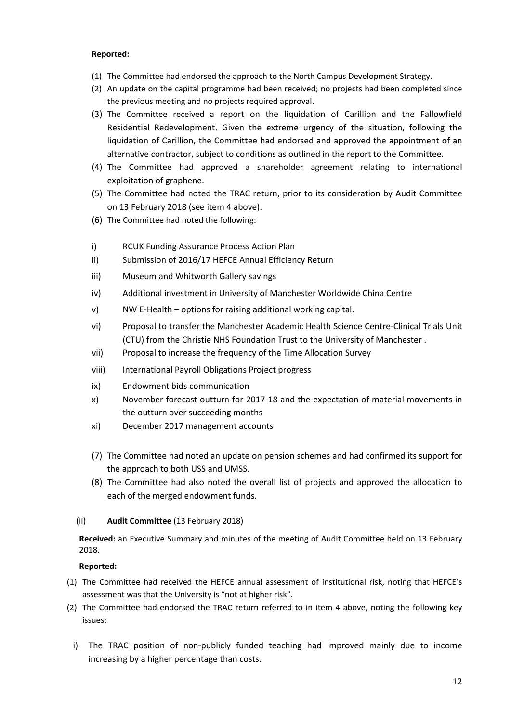# **Reported:**

- (1) The Committee had endorsed the approach to the North Campus Development Strategy.
- (2) An update on the capital programme had been received; no projects had been completed since the previous meeting and no projects required approval.
- (3) The Committee received a report on the liquidation of Carillion and the Fallowfield Residential Redevelopment. Given the extreme urgency of the situation, following the liquidation of Carillion, the Committee had endorsed and approved the appointment of an alternative contractor, subject to conditions as outlined in the report to the Committee.
- (4) The Committee had approved a shareholder agreement relating to international exploitation of graphene.
- (5) The Committee had noted the TRAC return, prior to its consideration by Audit Committee on 13 February 2018 (see item 4 above).
- (6) The Committee had noted the following:
- i) RCUK Funding Assurance Process Action Plan
- ii) Submission of 2016/17 HEFCE Annual Efficiency Return
- iii) Museum and Whitworth Gallery savings
- iv) Additional investment in University of Manchester Worldwide China Centre
- v) NW E-Health options for raising additional working capital.
- vi) Proposal to transfer the Manchester Academic Health Science Centre-Clinical Trials Unit (CTU) from the Christie NHS Foundation Trust to the University of Manchester .
- vii) Proposal to increase the frequency of the Time Allocation Survey
- viii) International Payroll Obligations Project progress
- ix) Endowment bids communication
- x) November forecast outturn for 2017-18 and the expectation of material movements in the outturn over succeeding months
- xi) December 2017 management accounts
- (7) The Committee had noted an update on pension schemes and had confirmed its support for the approach to both USS and UMSS.
- (8) The Committee had also noted the overall list of projects and approved the allocation to each of the merged endowment funds.

# (ii) **Audit Committee** (13 February 2018)

**Received:** an Executive Summary and minutes of the meeting of Audit Committee held on 13 February 2018.

- (1) The Committee had received the HEFCE annual assessment of institutional risk, noting that HEFCE's assessment was that the University is "not at higher risk".
- (2) The Committee had endorsed the TRAC return referred to in item 4 above, noting the following key issues:
	- i) The TRAC position of non-publicly funded teaching had improved mainly due to income increasing by a higher percentage than costs.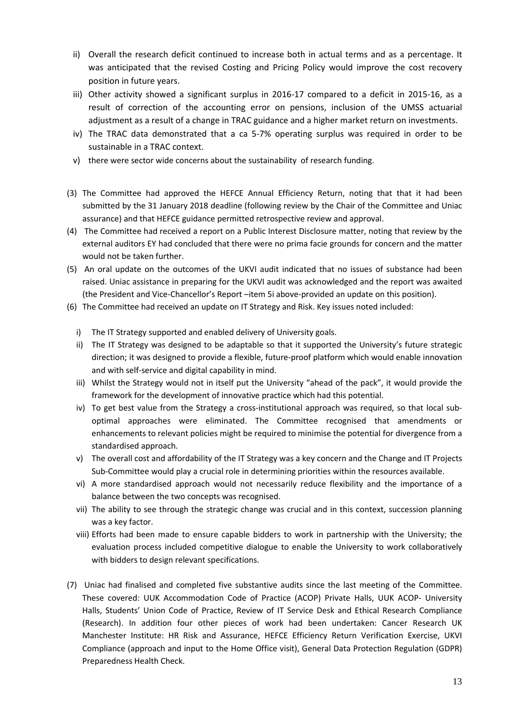- ii) Overall the research deficit continued to increase both in actual terms and as a percentage. It was anticipated that the revised Costing and Pricing Policy would improve the cost recovery position in future years.
- iii) Other activity showed a significant surplus in 2016-17 compared to a deficit in 2015-16, as a result of correction of the accounting error on pensions, inclusion of the UMSS actuarial adjustment as a result of a change in TRAC guidance and a higher market return on investments.
- iv) The TRAC data demonstrated that a ca 5-7% operating surplus was required in order to be sustainable in a TRAC context.
- v) there were sector wide concerns about the sustainability of research funding.
- (3) The Committee had approved the HEFCE Annual Efficiency Return, noting that that it had been submitted by the 31 January 2018 deadline (following review by the Chair of the Committee and Uniac assurance) and that HEFCE guidance permitted retrospective review and approval.
- (4) The Committee had received a report on a Public Interest Disclosure matter, noting that review by the external auditors EY had concluded that there were no prima facie grounds for concern and the matter would not be taken further.
- (5) An oral update on the outcomes of the UKVI audit indicated that no issues of substance had been raised. Uniac assistance in preparing for the UKVI audit was acknowledged and the report was awaited (the President and Vice-Chancellor's Report –item 5i above-provided an update on this position).
- (6) The Committee had received an update on IT Strategy and Risk. Key issues noted included:
	- i) The IT Strategy supported and enabled delivery of University goals.
	- ii) The IT Strategy was designed to be adaptable so that it supported the University's future strategic direction; it was designed to provide a flexible, future-proof platform which would enable innovation and with self-service and digital capability in mind.
	- iii) Whilst the Strategy would not in itself put the University "ahead of the pack", it would provide the framework for the development of innovative practice which had this potential.
	- iv) To get best value from the Strategy a cross-institutional approach was required, so that local suboptimal approaches were eliminated. The Committee recognised that amendments or enhancements to relevant policies might be required to minimise the potential for divergence from a standardised approach.
	- v) The overall cost and affordability of the IT Strategy was a key concern and the Change and IT Projects Sub-Committee would play a crucial role in determining priorities within the resources available.
	- vi) A more standardised approach would not necessarily reduce flexibility and the importance of a balance between the two concepts was recognised.
	- vii) The ability to see through the strategic change was crucial and in this context, succession planning was a key factor.
	- viii) Efforts had been made to ensure capable bidders to work in partnership with the University; the evaluation process included competitive dialogue to enable the University to work collaboratively with bidders to design relevant specifications.
- (7) Uniac had finalised and completed five substantive audits since the last meeting of the Committee. These covered: UUK Accommodation Code of Practice (ACOP) Private Halls, UUK ACOP- University Halls, Students' Union Code of Practice, Review of IT Service Desk and Ethical Research Compliance (Research). In addition four other pieces of work had been undertaken: Cancer Research UK Manchester Institute: HR Risk and Assurance, HEFCE Efficiency Return Verification Exercise, UKVI Compliance (approach and input to the Home Office visit), General Data Protection Regulation (GDPR) Preparedness Health Check.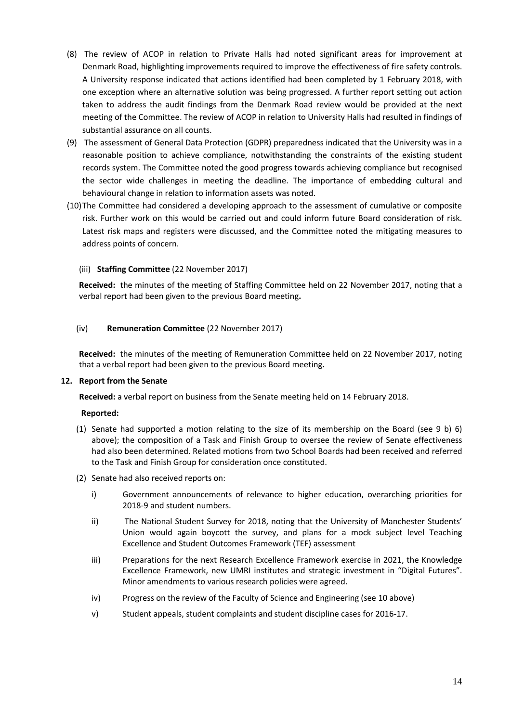- (8) The review of ACOP in relation to Private Halls had noted significant areas for improvement at Denmark Road, highlighting improvements required to improve the effectiveness of fire safety controls. A University response indicated that actions identified had been completed by 1 February 2018, with one exception where an alternative solution was being progressed. A further report setting out action taken to address the audit findings from the Denmark Road review would be provided at the next meeting of the Committee. The review of ACOP in relation to University Halls had resulted in findings of substantial assurance on all counts.
- (9) The assessment of General Data Protection (GDPR) preparedness indicated that the University was in a reasonable position to achieve compliance, notwithstanding the constraints of the existing student records system. The Committee noted the good progress towards achieving compliance but recognised the sector wide challenges in meeting the deadline. The importance of embedding cultural and behavioural change in relation to information assets was noted.
- (10)The Committee had considered a developing approach to the assessment of cumulative or composite risk. Further work on this would be carried out and could inform future Board consideration of risk. Latest risk maps and registers were discussed, and the Committee noted the mitigating measures to address points of concern.

## (iii) **Staffing Committee** (22 November 2017)

**Received:** the minutes of the meeting of Staffing Committee held on 22 November 2017, noting that a verbal report had been given to the previous Board meeting**.** 

### (iv) **Remuneration Committee** (22 November 2017)

**Received:** the minutes of the meeting of Remuneration Committee held on 22 November 2017, noting that a verbal report had been given to the previous Board meeting**.** 

### **12. Report from the Senate**

**Received:** a verbal report on business from the Senate meeting held on 14 February 2018.

- (1) Senate had supported a motion relating to the size of its membership on the Board (see 9 b) 6) above); the composition of a Task and Finish Group to oversee the review of Senate effectiveness had also been determined. Related motions from two School Boards had been received and referred to the Task and Finish Group for consideration once constituted.
- (2) Senate had also received reports on:
	- i) Government announcements of relevance to higher education, overarching priorities for 2018-9 and student numbers.
	- ii) The National Student Survey for 2018, noting that the University of Manchester Students' Union would again boycott the survey, and plans for a mock subject level Teaching Excellence and Student Outcomes Framework (TEF) assessment
	- iii) Preparations for the next Research Excellence Framework exercise in 2021, the Knowledge Excellence Framework, new UMRI institutes and strategic investment in "Digital Futures". Minor amendments to various research policies were agreed.
	- iv) Progress on the review of the Faculty of Science and Engineering (see 10 above)
	- v) Student appeals, student complaints and student discipline cases for 2016-17.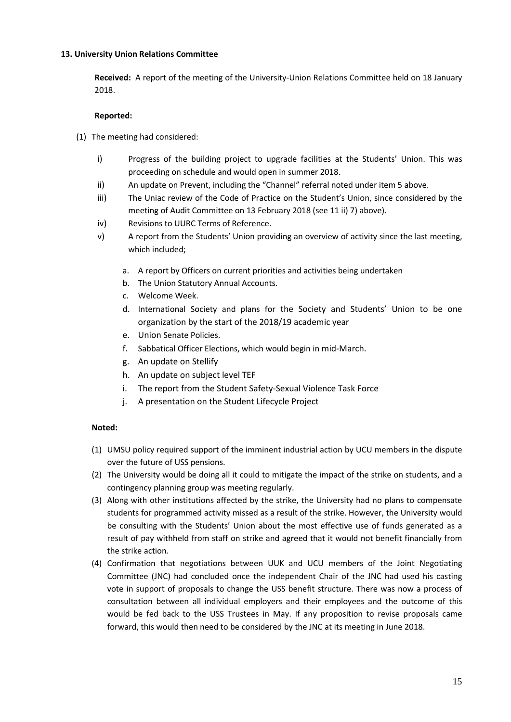## **13. University Union Relations Committee**

**Received:** A report of the meeting of the University-Union Relations Committee held on 18 January 2018.

# **Reported:**

- (1) The meeting had considered:
	- i) Progress of the building project to upgrade facilities at the Students' Union. This was proceeding on schedule and would open in summer 2018.
	- ii) An update on Prevent, including the "Channel" referral noted under item 5 above.
	- iii) The Uniac review of the Code of Practice on the Student's Union, since considered by the meeting of Audit Committee on 13 February 2018 (see 11 ii) 7) above).
	- iv) Revisions to UURC Terms of Reference.
	- v) A report from the Students' Union providing an overview of activity since the last meeting, which included;
		- a. A report by Officers on current priorities and activities being undertaken
		- b. The Union Statutory Annual Accounts.
		- c. Welcome Week.
		- d. International Society and plans for the Society and Students' Union to be one organization by the start of the 2018/19 academic year
		- e. Union Senate Policies.
		- f. Sabbatical Officer Elections, which would begin in mid-March.
		- g. An update on Stellify
		- h. An update on subject level TEF
		- i. The report from the Student Safety-Sexual Violence Task Force
		- j. A presentation on the Student Lifecycle Project

- (1) UMSU policy required support of the imminent industrial action by UCU members in the dispute over the future of USS pensions.
- (2) The University would be doing all it could to mitigate the impact of the strike on students, and a contingency planning group was meeting regularly.
- (3) Along with other institutions affected by the strike, the University had no plans to compensate students for programmed activity missed as a result of the strike. However, the University would be consulting with the Students' Union about the most effective use of funds generated as a result of pay withheld from staff on strike and agreed that it would not benefit financially from the strike action.
- (4) Confirmation that negotiations between UUK and UCU members of the Joint Negotiating Committee (JNC) had concluded once the independent Chair of the JNC had used his casting vote in support of proposals to change the USS benefit structure. There was now a process of consultation between all individual employers and their employees and the outcome of this would be fed back to the USS Trustees in May. If any proposition to revise proposals came forward, this would then need to be considered by the JNC at its meeting in June 2018.